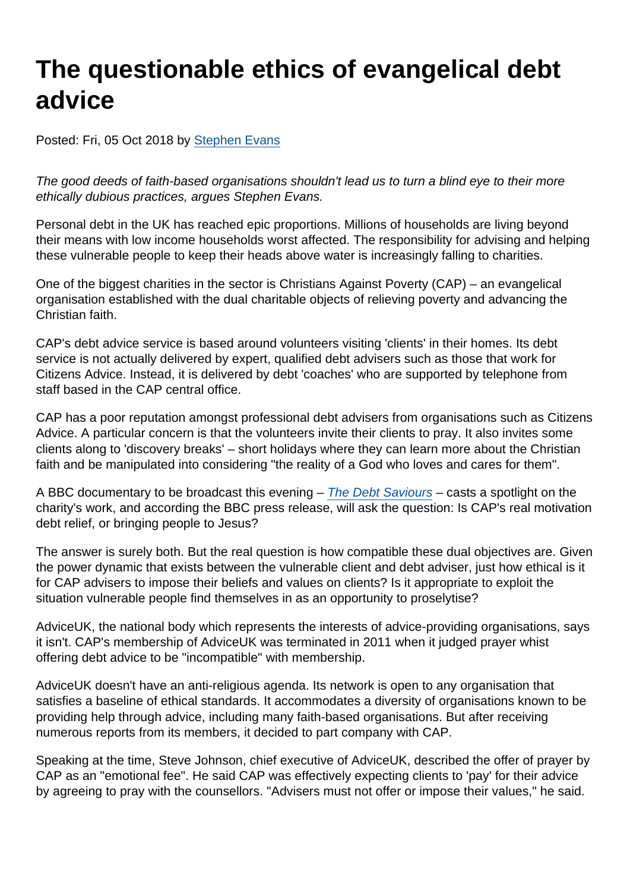# The questionable ethics of evangelical debt advice

Posted: Fri, 05 Oct 2018 by [Stephen Evans](https://www.secularism.org.uk/opinion/authors/845)

The good deeds of faith-based organisations shouldn't lead us to turn a blind eye to their more ethically dubious practices, argues Stephen Evans.

Personal debt in the UK has reached epic proportions. Millions of households are living beyond their means with low income households worst affected. The responsibility for advising and helping these vulnerable people to keep their heads above water is increasingly falling to charities.

One of the biggest charities in the sector is Christians Against Poverty (CAP) – an evangelical organisation established with the dual charitable objects of relieving poverty and advancing the Christian faith.

CAP's debt advice service is based around volunteers visiting 'clients' in their homes. Its debt service is not actually delivered by expert, qualified debt advisers such as those that work for Citizens Advice. Instead, it is delivered by debt 'coaches' who are supported by telephone from staff based in the CAP central office.

CAP has a poor reputation amongst professional debt advisers from organisations such as Citizens Advice. A particular concern is that the volunteers invite their clients to pray. It also invites some clients along to 'discovery breaks' – short holidays where they can learn more about the Christian faith and be manipulated into considering "the reality of a God who loves and cares for them".

A BBC documentary to be broadcast this evening – [The Debt Saviours](https://www.bbc.co.uk/mediacentre/proginfo/2018/40/the-debt-saviours) – casts a spotlight on the charity's work, and according the BBC press release, will ask the question: Is CAP's real motivation debt relief, or bringing people to Jesus?

The answer is surely both. But the real question is how compatible these dual objectives are. Given the power dynamic that exists between the vulnerable client and debt adviser, just how ethical is it for CAP advisers to impose their beliefs and values on clients? Is it appropriate to exploit the situation vulnerable people find themselves in as an opportunity to proselytise?

AdviceUK, the national body which represents the interests of advice-providing organisations, says it isn't. CAP's membership of AdviceUK was terminated in 2011 when it judged prayer whist offering debt advice to be "incompatible" with membership.

AdviceUK doesn't have an anti-religious agenda. Its network is open to any organisation that satisfies a baseline of ethical standards. It accommodates a diversity of organisations known to be providing help through advice, including many faith-based organisations. But after receiving numerous reports from its members, it decided to part company with CAP.

Speaking at the time, Steve Johnson, chief executive of AdviceUK, described the offer of prayer by CAP as an "emotional fee". He said CAP was effectively expecting clients to 'pay' for their advice by agreeing to pray with the counsellors. "Advisers must not offer or impose their values," he said.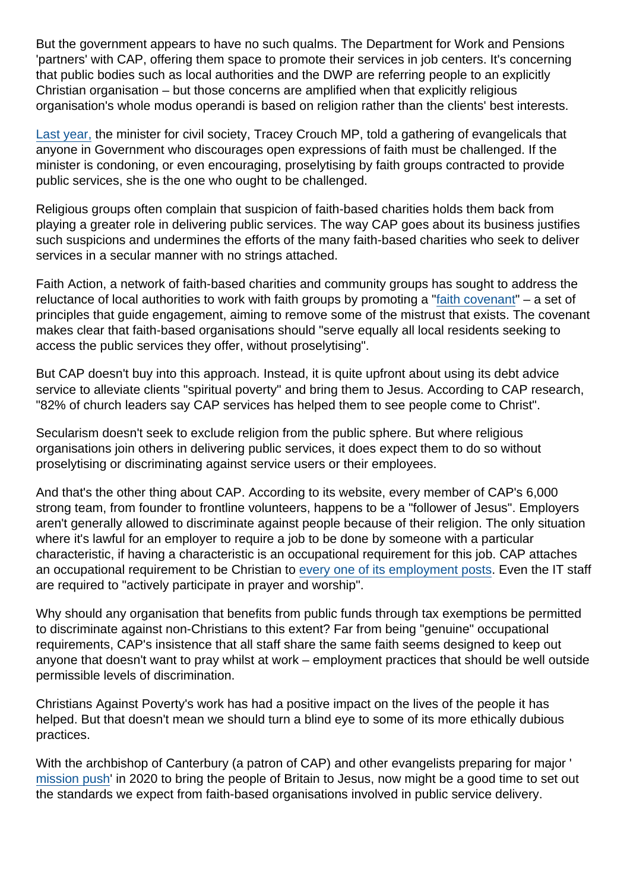But the government appears to have no such qualms. The Department for Work and Pensions 'partners' with CAP, offering them space to promote their services in job centers. It's concerning that public bodies such as local authorities and the DWP are referring people to an explicitly Christian organisation – but those concerns are amplified when that explicitly religious organisation's whole modus operandi is based on religion rather than the clients' best interests.

[Last year,](https://www.secularism.org.uk/news/2017/12/faith-groups-shouldnt-proselytise-when-providing-public-services) the minister for civil society, Tracey Crouch MP, told a gathering of evangelicals that anyone in Government who discourages open expressions of faith must be challenged. If the minister is condoning, or even encouraging, proselytising by faith groups contracted to provide public services, she is the one who ought to be challenged.

Religious groups often complain that suspicion of faith-based charities holds them back from playing a greater role in delivering public services. The way CAP goes about its business justifies such suspicions and undermines the efforts of the many faith-based charities who seek to deliver services in a secular manner with no strings attached.

Faith Action, a network of faith-based charities and community groups has sought to address the reluctance of local authorities to work with faith groups by promoting a ["faith covenant](http://www.faithandsociety.org/covenant/full/)" – a set of principles that guide engagement, aiming to remove some of the mistrust that exists. The covenant makes clear that faith-based organisations should "serve equally all local residents seeking to access the public services they offer, without proselytising".

But CAP doesn't buy into this approach. Instead, it is quite upfront about using its debt advice service to alleviate clients "spiritual poverty" and bring them to Jesus. According to CAP research, "82% of church leaders say CAP services has helped them to see people come to Christ".

Secularism doesn't seek to exclude religion from the public sphere. But where religious organisations join others in delivering public services, it does expect them to do so without proselytising or discriminating against service users or their employees.

And that's the other thing about CAP. According to its website, every member of CAP's 6,000 strong team, from founder to frontline volunteers, happens to be a "follower of Jesus". Employers aren't generally allowed to discriminate against people because of their religion. The only situation where it's lawful for an employer to require a job to be done by someone with a particular characteristic, if having a characteristic is an occupational requirement for this job. CAP attaches an occupational requirement to be Christian to [every one of its employment posts.](https://capuk.org/get-involved/you/join-the-team/genuine-occupational-requirements) Even the IT staff are required to "actively participate in prayer and worship".

Why should any organisation that benefits from public funds through tax exemptions be permitted to discriminate against non-Christians to this extent? Far from being "genuine" occupational requirements, CAP's insistence that all staff share the same faith seems designed to keep out anyone that doesn't want to pray whilst at work – employment practices that should be well outside permissible levels of discrimination.

Christians Against Poverty's work has had a positive impact on the lives of the people it has helped. But that doesn't mean we should turn a blind eye to some of its more ethically dubious practices.

With the archbishop of Canterbury (a patron of CAP) and other evangelists preparing for major ' [mission push](https://www.premier.org.uk/News/UK/Unprecedented-scale-of-evangelism-planned-for-2020)' in 2020 to bring the people of Britain to Jesus, now might be a good time to set out the standards we expect from faith-based organisations involved in public service delivery.